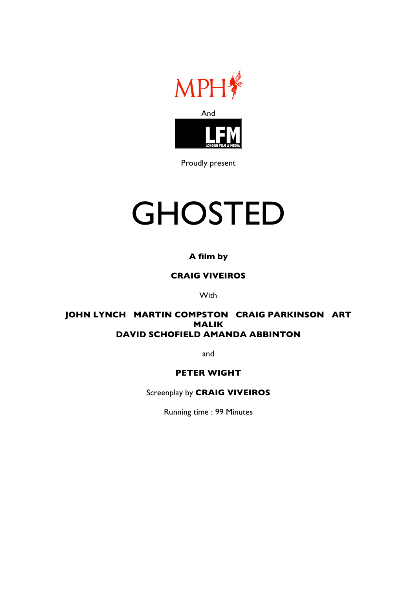

Proudly present

# **GHOSTED**

# **A film by**

# **CRAIG VIVEIROS**

**With** 

# **JOHN LYNCH MARTIN COMPSTON CRAIG PARKINSON ART MALIK DAVID SCHOFIELD AMANDA ABBINTON**

and

# **PETER WIGHT**

Screenplay by **CRAIG VIVEIROS**

Running time : 99 Minutes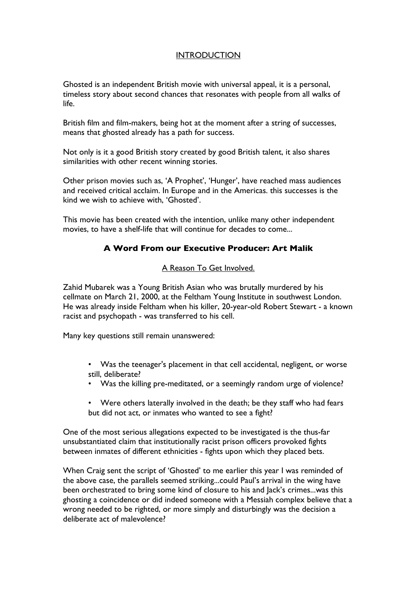# **INTRODUCTION**

Ghosted is an independent British movie with universal appeal, it is a personal, timeless story about second chances that resonates with people from all walks of life.

British film and film-makers, being hot at the moment after a string of successes, means that ghosted already has a path for success.

Not only is it a good British story created by good British talent, it also shares similarities with other recent winning stories.

Other prison movies such as, 'A Prophet', 'Hunger', have reached mass audiences and received critical acclaim. In Europe and in the Americas. this successes is the kind we wish to achieve with, 'Ghosted'.

This movie has been created with the intention, unlike many other independent movies, to have a shelf-life that will continue for decades to come...

# **A Word From our Executive Producer: Art Malik**

#### A Reason To Get Involved.

Zahid Mubarek was a Young British Asian who was brutally murdered by his cellmate on March 21, 2000, at the Feltham Young Institute in southwest London. He was already inside Feltham when his killer, 20-year-old Robert Stewart - a known racist and psychopath - was transferred to his cell.

Many key questions still remain unanswered:

- Was the teenager's placement in that cell accidental, negligent, or worse still, deliberate?
- Was the killing pre-meditated, or a seemingly random urge of violence?
- Were others laterally involved in the death; be they staff who had fears but did not act, or inmates who wanted to see a fight?

One of the most serious allegations expected to be investigated is the thus-far unsubstantiated claim that institutionally racist prison officers provoked fights between inmates of different ethnicities - fights upon which they placed bets.

When Craig sent the script of 'Ghosted' to me earlier this year I was reminded of the above case, the parallels seemed striking...could Paul's arrival in the wing have been orchestrated to bring some kind of closure to his and Jack's crimes...was this ghosting a coincidence or did indeed someone with a Messiah complex believe that a wrong needed to be righted, or more simply and disturbingly was the decision a deliberate act of malevolence?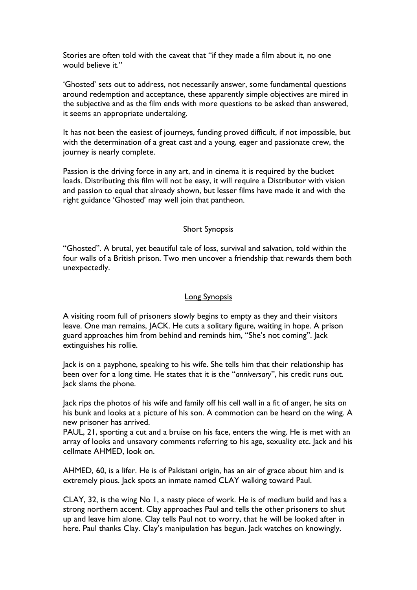Stories are often told with the caveat that "if they made a film about it, no one would believe it."

'Ghosted' sets out to address, not necessarily answer, some fundamental questions around redemption and acceptance, these apparently simple objectives are mired in the subjective and as the film ends with more questions to be asked than answered, it seems an appropriate undertaking.

It has not been the easiest of journeys, funding proved difficult, if not impossible, but with the determination of a great cast and a young, eager and passionate crew, the journey is nearly complete.

Passion is the driving force in any art, and in cinema it is required by the bucket loads. Distributing this film will not be easy, it will require a Distributor with vision and passion to equal that already shown, but lesser films have made it and with the right guidance 'Ghosted' may well join that pantheon.

### Short Synopsis

"Ghosted". A brutal, yet beautiful tale of loss, survival and salvation, told within the four walls of a British prison. Two men uncover a friendship that rewards them both unexpectedly.

#### Long Synopsis

A visiting room full of prisoners slowly begins to empty as they and their visitors leave. One man remains, JACK. He cuts a solitary figure, waiting in hope. A prison guard approaches him from behind and reminds him, "She's not coming". Jack extinguishes his rollie.

Jack is on a payphone, speaking to his wife. She tells him that their relationship has been over for a long time. He states that it is the "*anniversary*", his credit runs out. lack slams the phone.

Jack rips the photos of his wife and family off his cell wall in a fit of anger, he sits on his bunk and looks at a picture of his son. A commotion can be heard on the wing. A new prisoner has arrived.

PAUL, 21, sporting a cut and a bruise on his face, enters the wing. He is met with an array of looks and unsavory comments referring to his age, sexuality etc. Jack and his cellmate AHMED, look on.

AHMED, 60, is a lifer. He is of Pakistani origin, has an air of grace about him and is extremely pious. Jack spots an inmate named CLAY walking toward Paul.

CLAY, 32, is the wing No 1, a nasty piece of work. He is of medium build and has a strong northern accent. Clay approaches Paul and tells the other prisoners to shut up and leave him alone. Clay tells Paul not to worry, that he will be looked after in here. Paul thanks Clay. Clay's manipulation has begun. Jack watches on knowingly.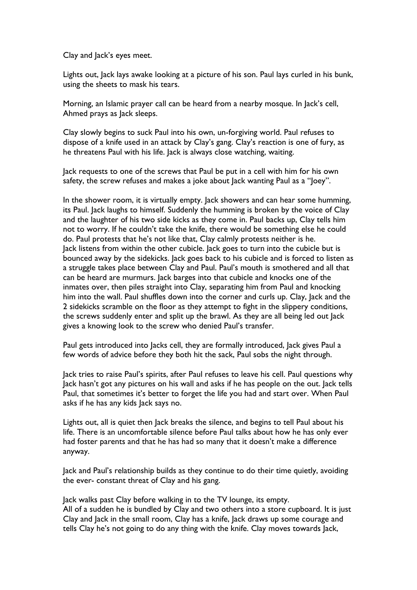Clay and Jack's eyes meet.

Lights out, Jack lays awake looking at a picture of his son. Paul lays curled in his bunk, using the sheets to mask his tears.

Morning, an Islamic prayer call can be heard from a nearby mosque. In Jack's cell, Ahmed prays as Jack sleeps.

Clay slowly begins to suck Paul into his own, un-forgiving world. Paul refuses to dispose of a knife used in an attack by Clay's gang. Clay's reaction is one of fury, as he threatens Paul with his life. Jack is always close watching, waiting.

Jack requests to one of the screws that Paul be put in a cell with him for his own safety, the screw refuses and makes a joke about lack wanting Paul as a "loey".

In the shower room, it is virtually empty. Jack showers and can hear some humming, its Paul. Jack laughs to himself. Suddenly the humming is broken by the voice of Clay and the laughter of his two side kicks as they come in. Paul backs up, Clay tells him not to worry. If he couldn't take the knife, there would be something else he could do. Paul protests that he's not like that, Clay calmly protests neither is he. Jack listens from within the other cubicle. Jack goes to turn into the cubicle but is bounced away by the sidekicks. Jack goes back to his cubicle and is forced to listen as a struggle takes place between Clay and Paul. Paul's mouth is smothered and all that can be heard are murmurs. Jack barges into that cubicle and knocks one of the inmates over, then piles straight into Clay, separating him from Paul and knocking him into the wall. Paul shuffles down into the corner and curls up. Clay, Jack and the 2 sidekicks scramble on the floor as they attempt to fight in the slippery conditions, the screws suddenly enter and split up the brawl. As they are all being led out Jack gives a knowing look to the screw who denied Paul's transfer.

Paul gets introduced into Jacks cell, they are formally introduced, Jack gives Paul a few words of advice before they both hit the sack, Paul sobs the night through.

Jack tries to raise Paul's spirits, after Paul refuses to leave his cell. Paul questions why Jack hasn't got any pictures on his wall and asks if he has people on the out. Jack tells Paul, that sometimes it's better to forget the life you had and start over. When Paul asks if he has any kids lack says no.

Lights out, all is quiet then Jack breaks the silence, and begins to tell Paul about his life. There is an uncomfortable silence before Paul talks about how he has only ever had foster parents and that he has had so many that it doesn't make a difference anyway.

Jack and Paul's relationship builds as they continue to do their time quietly, avoiding the ever- constant threat of Clay and his gang.

Jack walks past Clay before walking in to the TV lounge, its empty. All of a sudden he is bundled by Clay and two others into a store cupboard. It is just Clay and Jack in the small room, Clay has a knife, Jack draws up some courage and tells Clay he's not going to do any thing with the knife. Clay moves towards Jack,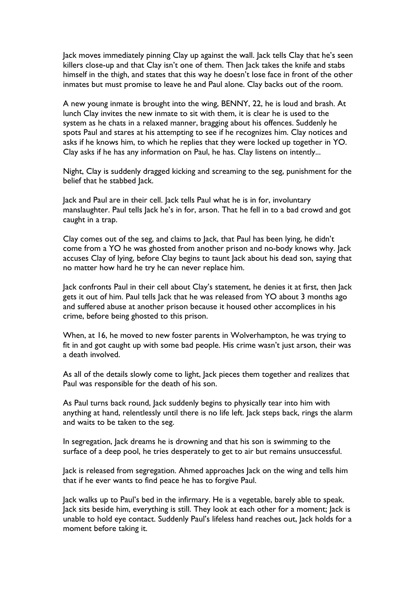Jack moves immediately pinning Clay up against the wall. Jack tells Clay that he's seen killers close-up and that Clay isn't one of them. Then Jack takes the knife and stabs himself in the thigh, and states that this way he doesn't lose face in front of the other inmates but must promise to leave he and Paul alone. Clay backs out of the room.

A new young inmate is brought into the wing, BENNY, 22, he is loud and brash. At lunch Clay invites the new inmate to sit with them, it is clear he is used to the system as he chats in a relaxed manner, bragging about his offences. Suddenly he spots Paul and stares at his attempting to see if he recognizes him. Clay notices and asks if he knows him, to which he replies that they were locked up together in YO. Clay asks if he has any information on Paul, he has. Clay listens on intently...

Night, Clay is suddenly dragged kicking and screaming to the seg, punishment for the belief that he stabbed Jack.

Jack and Paul are in their cell. Jack tells Paul what he is in for, involuntary manslaughter. Paul tells Jack he's in for, arson. That he fell in to a bad crowd and got caught in a trap.

Clay comes out of the seg, and claims to Jack, that Paul has been lying, he didn't come from a YO he was ghosted from another prison and no-body knows why. Jack accuses Clay of lying, before Clay begins to taunt Jack about his dead son, saying that no matter how hard he try he can never replace him.

Jack confronts Paul in their cell about Clay's statement, he denies it at first, then Jack gets it out of him. Paul tells Jack that he was released from YO about 3 months ago and suffered abuse at another prison because it housed other accomplices in his crime, before being ghosted to this prison.

When, at 16, he moved to new foster parents in Wolverhampton, he was trying to fit in and got caught up with some bad people. His crime wasn't just arson, their was a death involved.

As all of the details slowly come to light, Jack pieces them together and realizes that Paul was responsible for the death of his son.

As Paul turns back round, Jack suddenly begins to physically tear into him with anything at hand, relentlessly until there is no life left. Jack steps back, rings the alarm and waits to be taken to the seg.

In segregation, Jack dreams he is drowning and that his son is swimming to the surface of a deep pool, he tries desperately to get to air but remains unsuccessful.

Jack is released from segregation. Ahmed approaches Jack on the wing and tells him that if he ever wants to find peace he has to forgive Paul.

Jack walks up to Paul's bed in the infirmary. He is a vegetable, barely able to speak. Jack sits beside him, everything is still. They look at each other for a moment; Jack is unable to hold eye contact. Suddenly Paul's lifeless hand reaches out, Jack holds for a moment before taking it.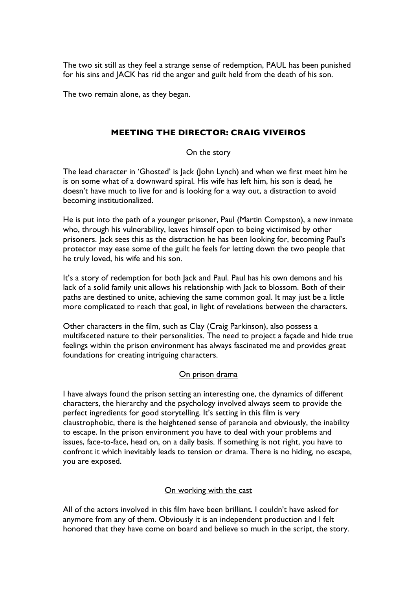The two sit still as they feel a strange sense of redemption, PAUL has been punished for his sins and JACK has rid the anger and guilt held from the death of his son.

The two remain alone, as they began.

### **MEETING THE DIRECTOR: CRAIG VIVEIROS**

### On the story

The lead character in 'Ghosted' is Jack (John Lynch) and when we first meet him he is on some what of a downward spiral. His wife has left him, his son is dead, he doesn't have much to live for and is looking for a way out, a distraction to avoid becoming institutionalized.

He is put into the path of a younger prisoner, Paul (Martin Compston), a new inmate who, through his vulnerability, leaves himself open to being victimised by other prisoners. Jack sees this as the distraction he has been looking for, becoming Paul's protector may ease some of the guilt he feels for letting down the two people that he truly loved, his wife and his son.

It's a story of redemption for both Jack and Paul. Paul has his own demons and his lack of a solid family unit allows his relationship with Jack to blossom. Both of their paths are destined to unite, achieving the same common goal. It may just be a little more complicated to reach that goal, in light of revelations between the characters.

Other characters in the film, such as Clay (Craig Parkinson), also possess a multifaceted nature to their personalities. The need to project a façade and hide true feelings within the prison environment has always fascinated me and provides great foundations for creating intriguing characters.

### On prison drama

I have always found the prison setting an interesting one, the dynamics of different characters, the hierarchy and the psychology involved always seem to provide the perfect ingredients for good storytelling. It's setting in this film is very claustrophobic, there is the heightened sense of paranoia and obviously, the inability to escape. In the prison environment you have to deal with your problems and issues, face-to-face, head on, on a daily basis. If something is not right, you have to confront it which inevitably leads to tension or drama. There is no hiding, no escape, you are exposed.

#### On working with the cast

All of the actors involved in this film have been brilliant. I couldn't have asked for anymore from any of them. Obviously it is an independent production and I felt honored that they have come on board and believe so much in the script, the story.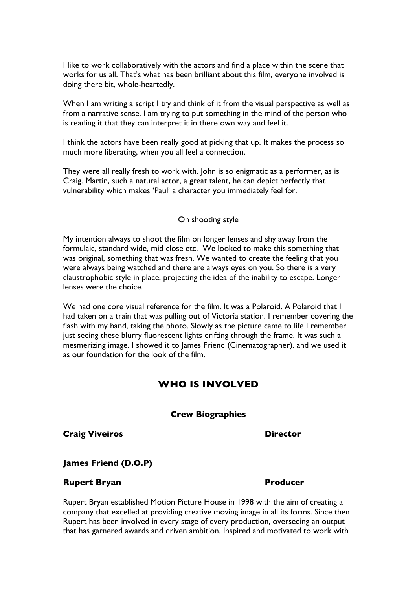I like to work collaboratively with the actors and find a place within the scene that works for us all. That's what has been brilliant about this film, everyone involved is doing there bit, whole-heartedly.

When I am writing a script I try and think of it from the visual perspective as well as from a narrative sense. I am trying to put something in the mind of the person who is reading it that they can interpret it in there own way and feel it.

I think the actors have been really good at picking that up. It makes the process so much more liberating, when you all feel a connection.

They were all really fresh to work with. John is so enigmatic as a performer, as is Craig. Martin, such a natural actor, a great talent, he can depict perfectly that vulnerability which makes 'Paul' a character you immediately feel for.

#### On shooting style

My intention always to shoot the film on longer lenses and shy away from the formulaic, standard wide, mid close etc. We looked to make this something that was original, something that was fresh. We wanted to create the feeling that you were always being watched and there are always eyes on you. So there is a very claustrophobic style in place, projecting the idea of the inability to escape. Longer lenses were the choice.

We had one core visual reference for the film. It was a Polaroid. A Polaroid that I had taken on a train that was pulling out of Victoria station. I remember covering the flash with my hand, taking the photo. Slowly as the picture came to life I remember just seeing these blurry fluorescent lights drifting through the frame. It was such a mesmerizing image. I showed it to James Friend (Cinematographer), and we used it as our foundation for the look of the film.

# **WHO IS INVOLVED**

#### **Crew Biographies**

**Craig Viveiros Director**

#### **James Friend (D.O.P)**

### **Rupert Bryan Producer**

Rupert Bryan established Motion Picture House in 1998 with the aim of creating a company that excelled at providing creative moving image in all its forms. Since then Rupert has been involved in every stage of every production, overseeing an output that has garnered awards and driven ambition. Inspired and motivated to work with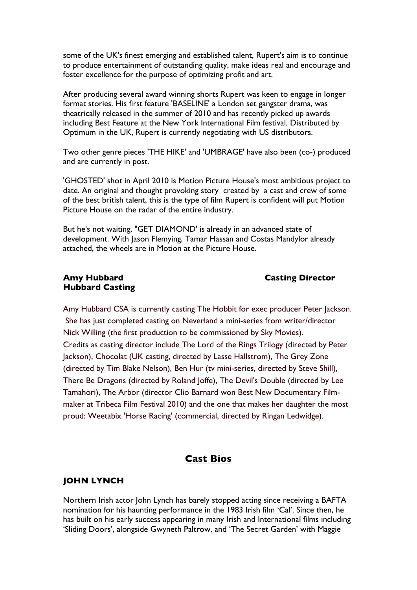some of the UK's finest emerging and established talent, Rupert's aim is to continue to produce entertainment of outstanding quality, make ideas real and encourage and foster excellence for the purpose of optimizing profit and art.

After producing several award winning shorts Rupert was keen to engage in longer format stories. His first feature 'BASELINE' a London set gangster drama, was theatrically released in the summer of 2010 and has recently picked up awards including Best Feature at the New York International Film festival. Distributed by Optimum in the UK, Rupert is currently negotiating with US distributors.

Two other genre pieces 'THE HIKE' and 'UMBRAGE' have also been (co-) produced and are currently in post.

'GHOSTED' shot in April 2010 is Motion Picture House's most ambitious project to date. An original and thought provoking story created by a cast and crew of some of the best british talent, this is the type of film Rupert is confident will put Motion Picture House on the radar of the entire industry.

But he's not waiting, "GET DIAMOND' is already in an advanced state of development. With Jason Flemying, Tamar Hassan and Costas Mandylor already attached, the wheels are in Motion at the Picture House.

#### **Amy Hubbard Casting Director Hubbard Casting**

Amy Hubbard CSA is currently casting The Hobbit for exec producer Peter Jackson. She has just completed casting on Neverland a mini-series from writer/director Nick Willing (the first production to be commissioned by Sky Movies). Credits as casting director include The Lord of the Rings Trilogy (directed by Peter Jackson), Chocolat (UK casting, directed by Lasse Hallstrom), The Grey Zone (directed by Tim Blake Nelson), Ben Hur (tv mini-series, directed by Steve Shill), There Be Dragons (directed by Roland Joffe), The Devil's Double (directed by Lee Tamahori), The Arbor (director Clio Barnard won Best New Documentary Filmmaker at Tribeca Film Festival 2010) and the one that makes her daughter the most proud: Weetabix 'Horse Racing' (commercial, directed by Ringan Ledwidge).

# **Cast Bios**

### **JOHN LYNCH**

Northern Irish actor John Lynch has barely stopped acting since receiving a BAFTA nomination for his haunting performance in the 1983 Irish film 'Cal'. Since then, he has built on his early success appearing in many Irish and International films including 'Sliding Doors', alongside Gwyneth Paltrow, and 'The Secret Garden' with Maggie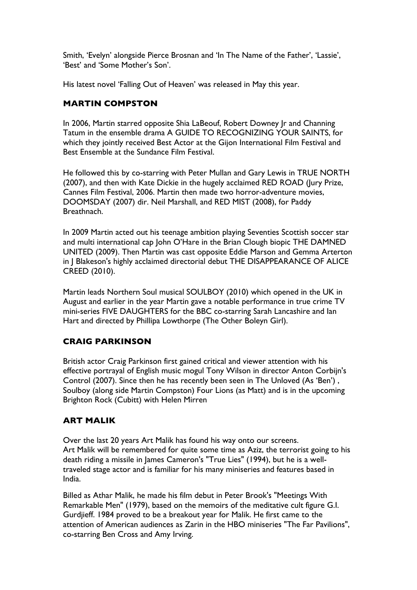Smith, 'Evelyn' alongside Pierce Brosnan and 'In The Name of the Father', 'Lassie', 'Best' and 'Some Mother's Son'.

His latest novel 'Falling Out of Heaven' was released in May this year.

# **MARTIN COMPSTON**

In 2006, Martin starred opposite Shia LaBeouf, Robert Downey Jr and Channing Tatum in the ensemble drama A GUIDE TO RECOGNIZING YOUR SAINTS, for which they jointly received Best Actor at the Gijon International Film Festival and Best Ensemble at the Sundance Film Festival.

He followed this by co-starring with Peter Mullan and Gary Lewis in TRUE NORTH (2007), and then with Kate Dickie in the hugely acclaimed RED ROAD (Jury Prize, Cannes Film Festival, 2006. Martin then made two horror-adventure movies, DOOMSDAY (2007) dir. Neil Marshall, and RED MIST (2008), for Paddy Breathnach.

In 2009 Martin acted out his teenage ambition playing Seventies Scottish soccer star and multi international cap John O'Hare in the Brian Clough biopic THE DAMNED UNITED (2009). Then Martin was cast opposite Eddie Marson and Gemma Arterton in J Blakeson's highly acclaimed directorial debut THE DISAPPEARANCE OF ALICE CREED (2010).

Martin leads Northern Soul musical SOULBOY (2010) which opened in the UK in August and earlier in the year Martin gave a notable performance in true crime TV mini-series FIVE DAUGHTERS for the BBC co-starring Sarah Lancashire and Ian Hart and directed by Phillipa Lowthorpe (The Other Boleyn Girl).

# **CRAIG PARKINSON**

British actor Craig Parkinson first gained critical and viewer attention with his effective portrayal of English music mogul Tony Wilson in director Anton Corbijn's Control (2007). Since then he has recently been seen in The Unloved (As 'Ben') , Soulboy (along side Martin Compston) Four Lions (as Matt) and is in the upcoming Brighton Rock (Cubitt) with Helen Mirren

# **ART MALIK**

Over the last 20 years Art Malik has found his way onto our screens. Art Malik will be remembered for quite some time as Aziz, the terrorist going to his death riding a missile in James Cameron's "True Lies" (1994), but he is a welltraveled stage actor and is familiar for his many miniseries and features based in India.

Billed as Athar Malik, he made his film debut in Peter Brook's "Meetings With Remarkable Men" (1979), based on the memoirs of the meditative cult figure G.I. Gurdjieff. 1984 proved to be a breakout year for Malik. He first came to the attention of American audiences as Zarin in the HBO miniseries "The Far Pavilions", co-starring Ben Cross and Amy Irving.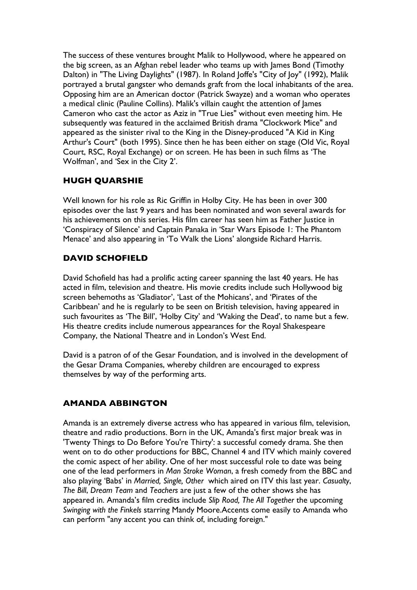The success of these ventures brought Malik to Hollywood, where he appeared on the big screen, as an Afghan rebel leader who teams up with James Bond (Timothy Dalton) in "The Living Daylights" (1987). In Roland Joffe's "City of Joy" (1992), Malik portrayed a brutal gangster who demands graft from the local inhabitants of the area. Opposing him are an American doctor (Patrick Swayze) and a woman who operates a medical clinic (Pauline Collins). Malik's villain caught the attention of James Cameron who cast the actor as Aziz in "True Lies" without even meeting him. He subsequently was featured in the acclaimed British drama "Clockwork Mice" and appeared as the sinister rival to the King in the Disney-produced "A Kid in King Arthur's Court" (both 1995). Since then he has been either on stage (Old Vic, Royal Court, RSC, Royal Exchange) or on screen. He has been in such films as 'The Wolfman', and 'Sex in the City 2'.

# **HUGH QUARSHIE**

Well known for his role as Ric Griffin in Holby City. He has been in over 300 episodes over the last 9 years and has been nominated and won several awards for his achievements on this series. His film career has seen him as Father Justice in 'Conspiracy of Silence' and Captain Panaka in 'Star Wars Episode 1: The Phantom Menace' and also appearing in 'To Walk the Lions' alongside Richard Harris.

# **DAVID SCHOFIELD**

David Schofield has had a prolific acting career spanning the last 40 years. He has acted in film, television and theatre. His movie credits include such Hollywood big screen behemoths as 'Gladiator', 'Last of the Mohicans', and 'Pirates of the Caribbean' and he is regularly to be seen on British television, having appeared in such favourites as 'The Bill', 'Holby City' and 'Waking the Dead', to name but a few. His theatre credits include numerous appearances for the Royal Shakespeare Company, the National Theatre and in London's West End.

David is a patron of of the Gesar Foundation, and is involved in the development of the Gesar Drama Companies, whereby children are encouraged to express themselves by way of the performing arts.

# **AMANDA ABBINGTON**

Amanda is an extremely diverse actress who has appeared in various film, television, theatre and radio productions. Born in the UK, Amanda's first major break was in 'Twenty Things to Do Before You're Thirty': a successful comedy drama. She then went on to do other productions for BBC, Channel 4 and ITV which mainly covered the comic aspect of her ability. One of her most successful role to date was being one of the lead performers in *Man Stroke Woman*, a fresh comedy from the BBC and also playing 'Babs' in *Married, Single, Other* which aired on ITV this last year. *Casualty*, *The Bill*, *Dream Team* and *Teachers* are just a few of the other shows she has appeared in. Amanda's film credits include *Slip Road, The All Together* the upcoming *Swinging with the Finkels* starring Mandy Moore.Accents come easily to Amanda who can perform "any accent you can think of, including foreign."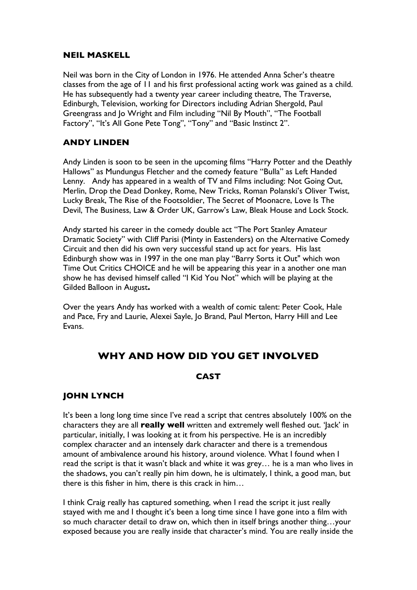### **NEIL MASKELL**

Neil was born in the City of London in 1976. He attended Anna Scher's theatre classes from the age of 11 and his first professional acting work was gained as a child. He has subsequently had a twenty year career including theatre, The Traverse, Edinburgh, Television, working for Directors including Adrian Shergold, Paul Greengrass and Jo Wright and Film including "Nil By Mouth", "The Football Factory", "It's All Gone Pete Tong", "Tony" and "Basic Instinct 2".

# **ANDY LINDEN**

Andy Linden is soon to be seen in the upcoming films "Harry Potter and the Deathly Hallows" as Mundungus Fletcher and the comedy feature "Bulla" as Left Handed Lenny. Andy has appeared in a wealth of TV and Films including: Not Going Out, Merlin, Drop the Dead Donkey, Rome, New Tricks, Roman Polanski's Oliver Twist, Lucky Break, The Rise of the Footsoldier, The Secret of Moonacre, Love Is The Devil, The Business, Law & Order UK, Garrow's Law, Bleak House and Lock Stock.

Andy started his career in the comedy double act "The Port Stanley Amateur Dramatic Society" with Cliff Parisi (Minty in Eastenders) on the Alternative Comedy Circuit and then did his own very successful stand up act for years. His last Edinburgh show was in 1997 in the one man play "Barry Sorts it Out" which won Time Out Critics CHOICE and he will be appearing this year in a another one man show he has devised himself called "I Kid You Not" which will be playing at the Gilded Balloon in August**.** 

Over the years Andy has worked with a wealth of comic talent: Peter Cook, Hale and Pace, Fry and Laurie, Alexei Sayle, Jo Brand, Paul Merton, Harry Hill and Lee Evans.

# **WHY AND HOW DID YOU GET INVOLVED**

# **CAST**

# **JOHN LYNCH**

It's been a long long time since I've read a script that centres absolutely 100% on the characters they are all **really well** written and extremely well fleshed out. 'Jack' in particular, initially, I was looking at it from his perspective. He is an incredibly complex character and an intensely dark character and there is a tremendous amount of ambivalence around his history, around violence. What I found when I read the script is that it wasn't black and white it was grey… he is a man who lives in the shadows, you can't really pin him down, he is ultimately, I think, a good man, but there is this fisher in him, there is this crack in him…

I think Craig really has captured something, when I read the script it just really stayed with me and I thought it's been a long time since I have gone into a film with so much character detail to draw on, which then in itself brings another thing…your exposed because you are really inside that character's mind. You are really inside the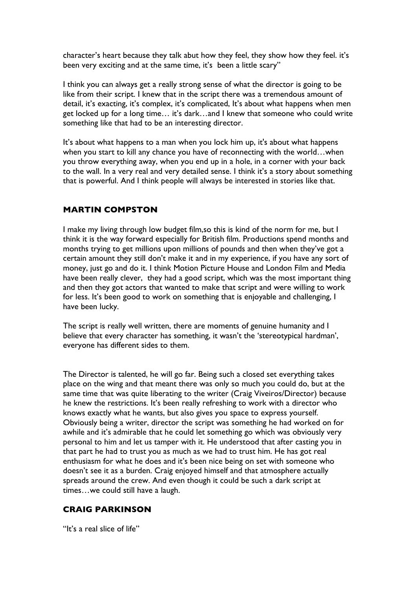character's heart because they talk abut how they feel, they show how they feel. it's been very exciting and at the same time, it's been a little scary"

I think you can always get a really strong sense of what the director is going to be like from their script. I knew that in the script there was a tremendous amount of detail, it's exacting, it's complex, it's complicated, It's about what happens when men get locked up for a long time… it's dark…and I knew that someone who could write something like that had to be an interesting director.

It's about what happens to a man when you lock him up, it's about what happens when you start to kill any chance you have of reconnecting with the world…when you throw everything away, when you end up in a hole, in a corner with your back to the wall. In a very real and very detailed sense. I think it's a story about something that is powerful. And I think people will always be interested in stories like that.

# **MARTIN COMPSTON**

I make my living through low budget film,so this is kind of the norm for me, but I think it is the way forward especially for British film. Productions spend months and months trying to get millions upon millions of pounds and then when they've got a certain amount they still don't make it and in my experience, if you have any sort of money, just go and do it. I think Motion Picture House and London Film and Media have been really clever, they had a good script, which was the most important thing and then they got actors that wanted to make that script and were willing to work for less. It's been good to work on something that is enjoyable and challenging, I have been lucky.

The script is really well written, there are moments of genuine humanity and I believe that every character has something, it wasn't the 'stereotypical hardman', everyone has different sides to them.

The Director is talented, he will go far. Being such a closed set everything takes place on the wing and that meant there was only so much you could do, but at the same time that was quite liberating to the writer (Craig Viveiros/Director) because he knew the restrictions. It's been really refreshing to work with a director who knows exactly what he wants, but also gives you space to express yourself. Obviously being a writer, director the script was something he had worked on for awhile and it's admirable that he could let something go which was obviously very personal to him and let us tamper with it. He understood that after casting you in that part he had to trust you as much as we had to trust him. He has got real enthusiasm for what he does and it's been nice being on set with someone who doesn't see it as a burden. Craig enjoyed himself and that atmosphere actually spreads around the crew. And even though it could be such a dark script at times…we could still have a laugh.

# **CRAIG PARKINSON**

"It's a real slice of life"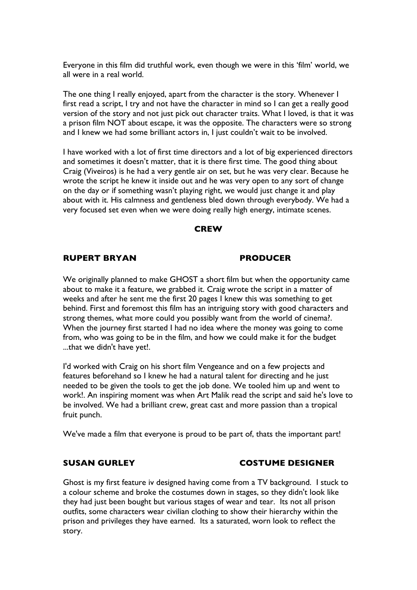Everyone in this film did truthful work, even though we were in this 'film' world, we all were in a real world.

The one thing I really enjoyed, apart from the character is the story. Whenever I first read a script, I try and not have the character in mind so I can get a really good version of the story and not just pick out character traits. What I loved, is that it was a prison film NOT about escape, it was the opposite. The characters were so strong and I knew we had some brilliant actors in, I just couldn't wait to be involved.

I have worked with a lot of first time directors and a lot of big experienced directors and sometimes it doesn't matter, that it is there first time. The good thing about Craig (Viveiros) is he had a very gentle air on set, but he was very clear. Because he wrote the script he knew it inside out and he was very open to any sort of change on the day or if something wasn't playing right, we would just change it and play about with it. His calmness and gentleness bled down through everybody. We had a very focused set even when we were doing really high energy, intimate scenes.

#### **CREW**

### **RUPERT BRYAN PRODUCER**

We originally planned to make GHOST a short film but when the opportunity came about to make it a feature, we grabbed it. Craig wrote the script in a matter of weeks and after he sent me the first 20 pages I knew this was something to get behind. First and foremost this film has an intriguing story with good characters and strong themes, what more could you possibly want from the world of cinema?. When the journey first started I had no idea where the money was going to come from, who was going to be in the film, and how we could make it for the budget ...that we didn't have yet!.

I'd worked with Craig on his short film Vengeance and on a few projects and features beforehand so I knew he had a natural talent for directing and he just needed to be given the tools to get the job done. We tooled him up and went to work!. An inspiring moment was when Art Malik read the script and said he's love to be involved. We had a brilliant crew, great cast and more passion than a tropical fruit punch.

We've made a film that everyone is proud to be part of, thats the important part!

#### **SUSAN GURLEY COSTUME DESIGNER**

Ghost is my first feature iv designed having come from a TV background. I stuck to a colour scheme and broke the costumes down in stages, so they didn't look like they had just been bought but various stages of wear and tear. Its not all prison outfits, some characters wear civilian clothing to show their hierarchy within the prison and privileges they have earned. Its a saturated, worn look to reflect the story.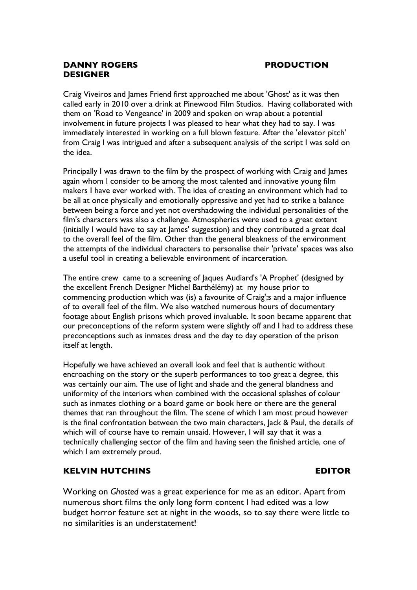# **DANNY ROGERS PRODUCTION DESIGNER**

Craig Viveiros and James Friend first approached me about 'Ghost' as it was then called early in 2010 over a drink at Pinewood Film Studios. Having collaborated with them on 'Road to Vengeance' in 2009 and spoken on wrap about a potential involvement in future projects I was pleased to hear what they had to say. I was immediately interested in working on a full blown feature. After the 'elevator pitch' from Craig I was intrigued and after a subsequent analysis of the script I was sold on the idea.

Principally I was drawn to the film by the prospect of working with Craig and James again whom I consider to be among the most talented and innovative young film makers I have ever worked with. The idea of creating an environment which had to be all at once physically and emotionally oppressive and yet had to strike a balance between being a force and yet not overshadowing the individual personalities of the film's characters was also a challenge. Atmospherics were used to a great extent (initially I would have to say at James' suggestion) and they contributed a great deal to the overall feel of the film. Other than the general bleakness of the environment the attempts of the individual characters to personalise their 'private' spaces was also a useful tool in creating a believable environment of incarceration.

The entire crew came to a screening of Jaques Audiard's 'A Prophet' (designed by the excellent French Designer Michel Barthélémy) at my house prior to commencing production which was (is) a favourite of Craig';s and a major influence of to overall feel of the film. We also watched numerous hours of documentary footage about English prisons which proved invaluable. It soon became apparent that our preconceptions of the reform system were slightly off and I had to address these preconceptions such as inmates dress and the day to day operation of the prison itself at length.

Hopefully we have achieved an overall look and feel that is authentic without encroaching on the story or the superb performances to too great a degree, this was certainly our aim. The use of light and shade and the general blandness and uniformity of the interiors when combined with the occasional splashes of colour such as inmates clothing or a board game or book here or there are the general themes that ran throughout the film. The scene of which I am most proud however is the final confrontation between the two main characters, Jack & Paul, the details of which will of course have to remain unsaid. However, I will say that it was a technically challenging sector of the film and having seen the finished article, one of which I am extremely proud.

# **KELVIN HUTCHINS EDITOR**

Working on *Ghosted* was a great experience for me as an editor. Apart from numerous short films the only long form content I had edited was a low budget horror feature set at night in the woods, so to say there were little to no similarities is an understatement!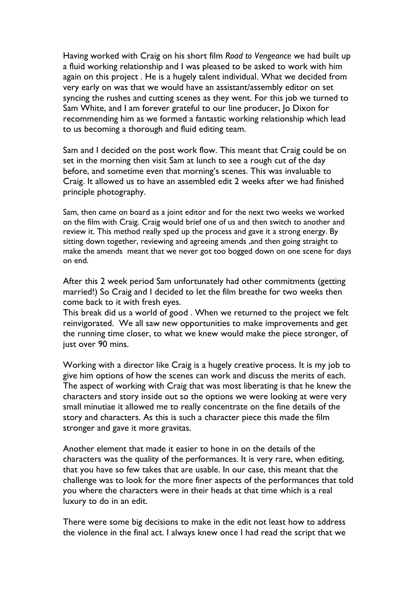Having worked with Craig on his short film *Road to Vengeance* we had built up a fluid working relationship and I was pleased to be asked to work with him again on this project . He is a hugely talent individual. What we decided from very early on was that we would have an assistant/assembly editor on set syncing the rushes and cutting scenes as they went. For this job we turned to Sam White, and I am forever grateful to our line producer, Jo Dixon for recommending him as we formed a fantastic working relationship which lead to us becoming a thorough and fluid editing team.

Sam and I decided on the post work flow. This meant that Craig could be on set in the morning then visit Sam at lunch to see a rough cut of the day before, and sometime even that morning's scenes. This was invaluable to Craig. It allowed us to have an assembled edit 2 weeks after we had finished principle photography.

Sam, then came on board as a joint editor and for the next two weeks we worked on the film with Craig. Craig would brief one of us and then switch to another and review it. This method really sped up the process and gave it a strong energy. By sitting down together, reviewing and agreeing amends ,and then going straight to make the amends meant that we never got too bogged down on one scene for days on end.

After this 2 week period Sam unfortunately had other commitments (getting married!) So Craig and I decided to let the film breathe for two weeks then come back to it with fresh eyes.

This break did us a world of good . When we returned to the project we felt reinvigorated. We all saw new opportunities to make improvements and get the running time closer, to what we knew would make the piece stronger, of just over 90 mins.

Working with a director like Craig is a hugely creative process. It is my job to give him options of how the scenes can work and discuss the merits of each. The aspect of working with Craig that was most liberating is that he knew the characters and story inside out so the options we were looking at were very small minutiae it allowed me to really concentrate on the fine details of the story and characters. As this is such a character piece this made the film stronger and gave it more gravitas.

Another element that made it easier to hone in on the details of the characters was the quality of the performances. It is very rare, when editing, that you have so few takes that are usable. In our case, this meant that the challenge was to look for the more finer aspects of the performances that told you where the characters were in their heads at that time which is a real luxury to do in an edit.

There were some big decisions to make in the edit not least how to address the violence in the final act. I always knew once I had read the script that we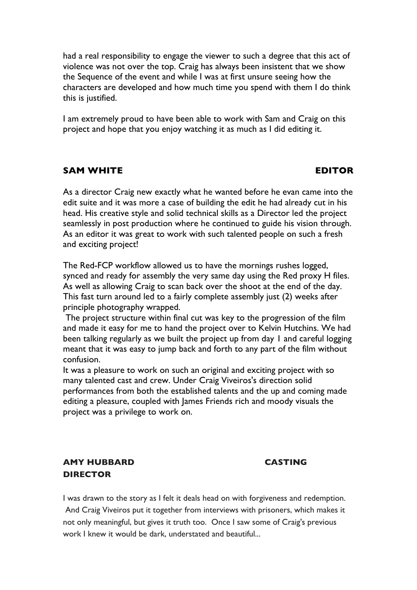had a real responsibility to engage the viewer to such a degree that this act of violence was not over the top. Craig has always been insistent that we show the Sequence of the event and while I was at first unsure seeing how the characters are developed and how much time you spend with them I do think this is justified.

I am extremely proud to have been able to work with Sam and Craig on this project and hope that you enjoy watching it as much as I did editing it.

# **SAM WHITE EDITOR**

As a director Craig new exactly what he wanted before he evan came into the edit suite and it was more a case of building the edit he had already cut in his head. His creative style and solid technical skills as a Director led the project seamlessly in post production where he continued to guide his vision through. As an editor it was great to work with such talented people on such a fresh and exciting project!

The Red-FCP workflow allowed us to have the mornings rushes logged, synced and ready for assembly the very same day using the Red proxy H files. As well as allowing Craig to scan back over the shoot at the end of the day. This fast turn around led to a fairly complete assembly just (2) weeks after principle photography wrapped.

The project structure within final cut was key to the progression of the film and made it easy for me to hand the project over to Kelvin Hutchins. We had been talking regularly as we built the project up from day 1 and careful logging meant that it was easy to jump back and forth to any part of the film without confusion.

It was a pleasure to work on such an original and exciting project with so many talented cast and crew. Under Craig Viveiros's direction solid performances from both the established talents and the up and coming made editing a pleasure, coupled with James Friends rich and moody visuals the project was a privilege to work on.

# **AMY HUBBARD CASTING DIRECTOR**

I was drawn to the story as I felt it deals head on with forgiveness and redemption. And Craig Viveiros put it together from interviews with prisoners, which makes it not only meaningful, but gives it truth too. Once I saw some of Craig's previous work I knew it would be dark, understated and beautiful...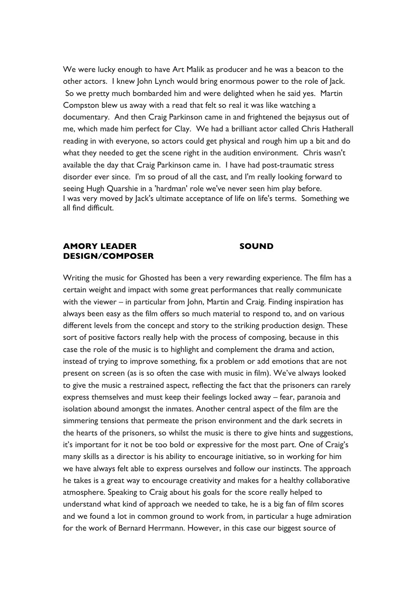We were lucky enough to have Art Malik as producer and he was a beacon to the other actors. I knew John Lynch would bring enormous power to the role of Jack. So we pretty much bombarded him and were delighted when he said yes. Martin Compston blew us away with a read that felt so real it was like watching a documentary. And then Craig Parkinson came in and frightened the bejaysus out of me, which made him perfect for Clay. We had a brilliant actor called Chris Hatherall reading in with everyone, so actors could get physical and rough him up a bit and do what they needed to get the scene right in the audition environment. Chris wasn't available the day that Craig Parkinson came in. I have had post-traumatic stress disorder ever since. I'm so proud of all the cast, and I'm really looking forward to seeing Hugh Quarshie in a 'hardman' role we've never seen him play before. I was very moved by Jack's ultimate acceptance of life on life's terms. Something we all find difficult.

### **AMORY LEADER SOUND DESIGN/COMPOSER**

Writing the music for Ghosted has been a very rewarding experience. The film has a certain weight and impact with some great performances that really communicate with the viewer – in particular from John, Martin and Craig. Finding inspiration has always been easy as the film offers so much material to respond to, and on various different levels from the concept and story to the striking production design. These sort of positive factors really help with the process of composing, because in this case the role of the music is to highlight and complement the drama and action, instead of trying to improve something, fix a problem or add emotions that are not present on screen (as is so often the case with music in film). We've always looked to give the music a restrained aspect, reflecting the fact that the prisoners can rarely express themselves and must keep their feelings locked away – fear, paranoia and isolation abound amongst the inmates. Another central aspect of the film are the simmering tensions that permeate the prison environment and the dark secrets in the hearts of the prisoners, so whilst the music is there to give hints and suggestions, it's important for it not be too bold or expressive for the most part. One of Craig's many skills as a director is his ability to encourage initiative, so in working for him we have always felt able to express ourselves and follow our instincts. The approach he takes is a great way to encourage creativity and makes for a healthy collaborative atmosphere. Speaking to Craig about his goals for the score really helped to understand what kind of approach we needed to take, he is a big fan of film scores and we found a lot in common ground to work from, in particular a huge admiration for the work of Bernard Herrmann. However, in this case our biggest source of